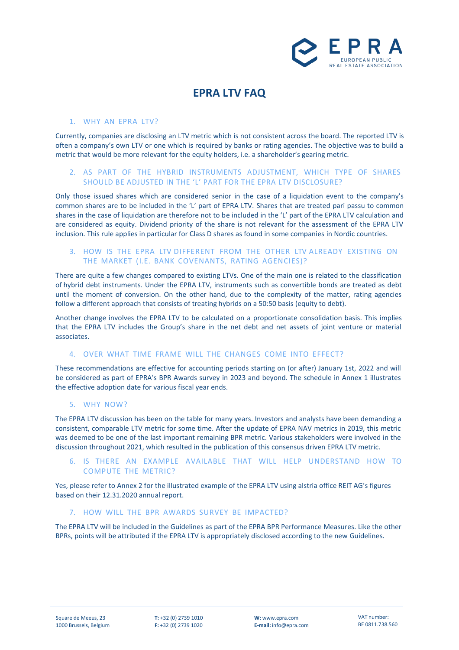

# **EPRA LTV FAQ**

### 1. WHY AN EPRA LTV?

Currently, companies are disclosing an LTV metric which is not consistent across the board. The reported LTV is often a company's own LTV or one which is required by banks or rating agencies. The objective was to build a metric that would be more relevant for the equity holders, i.e. a shareholder's gearing metric.

# 2. AS PART OF THE HYBRID INSTRUMENTS ADJUSTMENT, WHICH TYPE OF SHARES SHOULD BE ADJUSTED IN THE 'L' PART FOR THE EPRA LTV DISCLOSURE?

Only those issued shares which are considered senior in the case of a liquidation event to the company's common shares are to be included in the 'L' part of EPRA LTV. Shares that are treated pari passu to common shares in the case of liquidation are therefore not to be included in the 'L' part of the EPRA LTV calculation and are considered as equity. Dividend priority of the share is not relevant for the assessment of the EPRA LTV inclusion. This rule applies in particular for Class D shares as found in some companies in Nordic countries.

# 3. HOW IS THE EPRA LTV DIFFERENT FROM THE OTHER LTV ALREADY EXISTING ON THE MARKET (I.E. BANK COVENANTS, RATING AGENCIES)?

There are quite a few changes compared to existing LTVs. One of the main one is related to the classification of hybrid debt instruments. Under the EPRA LTV, instruments such as convertible bonds are treated as debt until the moment of conversion. On the other hand, due to the complexity of the matter, rating agencies follow a different approach that consists of treating hybrids on a 50:50 basis (equity to debt).

Another change involves the EPRA LTV to be calculated on a proportionate consolidation basis. This implies that the EPRA LTV includes the Group's share in the net debt and net assets of joint venture or material associates.

## 4. OVER WHAT TIME FRAME WILL THE CHANGES COME INTO EFFECT?

These recommendations are effective for accounting periods starting on (or after) January 1st, 2022 and will be considered as part of EPRA's BPR Awards survey in 2023 and beyond. The schedule in Annex 1 illustrates the effective adoption date for various fiscal year ends.

## 5. WHY NOW?

The EPRA LTV discussion has been on the table for many years. Investors and analysts have been demanding a consistent, comparable LTV metric for some time. After the update of EPRA NAV metrics in 2019, this metric was deemed to be one of the last important remaining BPR metric. Various stakeholders were involved in the discussion throughout 2021, which resulted in the publication of this consensus driven EPRA LTV metric.

# 6. IS THERE AN EXAMPLE AVAILABLE THAT WILL HELP UNDERSTAND HOW TO COMPUTE THE METRIC?

Yes, please refer to Annex 2 for the illustrated example of the EPRA LTV using alstria office REIT AG's figures based on their 12.31.2020 annual report.

#### 7. HOW WILL THE BPR AWARDS SURVEY BE IMPACTED?

The EPRA LTV will be included in the Guidelines as part of the EPRA BPR Performance Measures. Like the other BPRs, points will be attributed if the EPRA LTV is appropriately disclosed according to the new Guidelines.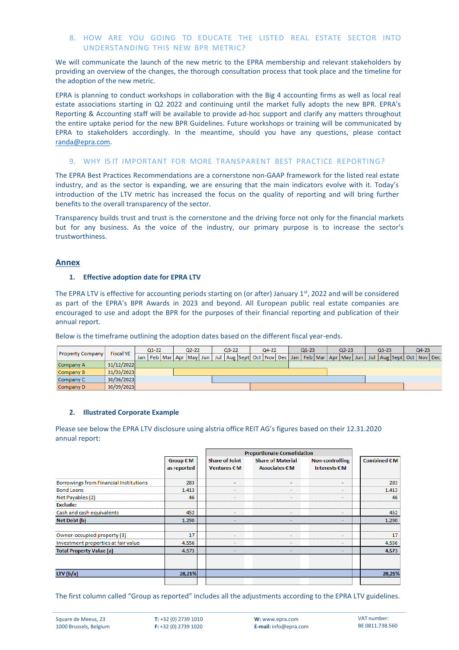# 8. HOW ARE YOU GOING TO EDUCATE THE LISTED REAL ESTATE SECTOR INTO UNDERSTANDING THIS NEW BPR METRIC?

We will communicate the launch of the new metric to the EPRA membership and relevant stakeholders by providing an overview of the changes, the thorough consultation process that took place and the timeline for the adoption of the new metric.

EPRA is planning to conduct workshops in collaboration with the Big 4 accounting firms as well as local real estate associations starting in Q2 2022 and continuing until the market fully adopts the new BPR. EPRA's Reporting & Accounting staff will be available to provide ad-hoc support and clarify any matters throughout the entire uptake period for the new BPR Guidelines. Future workshops or training will be communicated by EPRA to stakeholders accordingly. In the meantime, should you have any questions, please contact [randa@epra.com.](mailto:randa@epra.com)

#### 9. WHY IS IT IMPORTANT FOR MORE TRANSPARENT BEST PRACTICE REPORTING?

The EPRA Best Practices Recommendations are a cornerstone non-GAAP framework for the listed real estate industry, and as the sector is expanding, we are ensuring that the main indicators evolve with it. Today's introduction of the LTV metric has increased the focus on the quality of reporting and will bring further benefits to the overall transparency of the sector.

Transparency builds trust and trust is the cornerstone and the driving force not only for the financial markets but for any business. As the voice of the industry, our primary purpose is to increase the sector's trustworthiness.

# **Annex**

#### **1. Effective adoption date for EPRA LTV**

The EPRA LTV is effective for accounting periods starting on (or after) January 1<sup>st</sup>, 2022 and will be considered as part of the EPRA's BPR Awards in 2023 and beyond. All European public real estate companies are encouraged to use and adopt the BPR for the purposes of their financial reporting and publication of their annual report.

Below is the timeframe outlining the adoption dates based on the different fiscal year-ends.

| <b>Property Company</b> | <b>Fiscal YE</b> | $Q1-22$ |  |  | $Q2 - 22$ |  |  | $Q3 - 22$ |  |                                                                                               | $Q4 - 22$ |  |  | $Q1 - 23$ |  |  | $Q2 - 23$ |  |  | $Q3 - 23$ |  |  | $Q4-23$ |  |  |
|-------------------------|------------------|---------|--|--|-----------|--|--|-----------|--|-----------------------------------------------------------------------------------------------|-----------|--|--|-----------|--|--|-----------|--|--|-----------|--|--|---------|--|--|
|                         |                  | Jan     |  |  |           |  |  |           |  | Feb Mar Apr May Jun Jul Aug Sept Oct Nov Dec Jan Feb Mar Apr May Jun Jul Aug Sept Oct Nov Dec |           |  |  |           |  |  |           |  |  |           |  |  |         |  |  |
| Company A               | 31/12/2022       |         |  |  |           |  |  |           |  |                                                                                               |           |  |  |           |  |  |           |  |  |           |  |  |         |  |  |
| Company B               | 31/03/2023       |         |  |  |           |  |  |           |  |                                                                                               |           |  |  |           |  |  |           |  |  |           |  |  |         |  |  |
| Company C               | 30/06/2023       |         |  |  |           |  |  |           |  |                                                                                               |           |  |  |           |  |  |           |  |  |           |  |  |         |  |  |
| Company D               | 30/09/2023       |         |  |  |           |  |  |           |  |                                                                                               |           |  |  |           |  |  |           |  |  |           |  |  |         |  |  |

## **2. Illustrated Corporate Example**

Please see below the EPRA LTV disclosure using alstria office REIT AG's figures based on their 12.31.2020 annual report:

|                                               |                    |  | <b>Proportionate Consolidation</b> |                          |                        |  |                                    |
|-----------------------------------------------|--------------------|--|------------------------------------|--------------------------|------------------------|--|------------------------------------|
|                                               | Group $\epsilon$ M |  | <b>Share of Joint</b>              | <b>Share of Material</b> | <b>Non-controlling</b> |  | Combined $\boldsymbol{\epsilon}$ M |
|                                               | as reported        |  | Ventures $\epsilon$ M              | Associates € M           | Interests $\epsilon$ M |  |                                    |
| <b>Borrowings from Financial Institutions</b> | 283                |  |                                    |                          |                        |  | 283                                |
| <b>Bond Loans</b>                             | 1.413              |  |                                    |                          |                        |  | 1.413                              |
| Net Payables (2)                              | 46                 |  |                                    |                          |                        |  | 46                                 |
| <b>Exclude:</b>                               |                    |  |                                    |                          |                        |  |                                    |
| Cash and cash equivalents                     | 452                |  |                                    |                          | ۰                      |  | 452                                |
| Net Debt (b)                                  | 1.290              |  |                                    |                          |                        |  | 1.290                              |
|                                               |                    |  |                                    |                          |                        |  |                                    |
| Owner-occupied property (3)                   | 17                 |  |                                    |                          |                        |  | 17                                 |
| Investment properties at fair value           | 4.556              |  |                                    |                          | ٠                      |  | 4.556                              |
| <b>Total Property Value (a)</b>               | 4.573              |  |                                    |                          |                        |  | 4.573                              |
|                                               |                    |  |                                    |                          |                        |  |                                    |
| LTV(b/a)                                      | 28,21%             |  |                                    |                          |                        |  | 28,21%                             |
|                                               |                    |  |                                    |                          |                        |  |                                    |

The first column called "Group as reported" includes all the adjustments according to the EPRA LTV guidelines.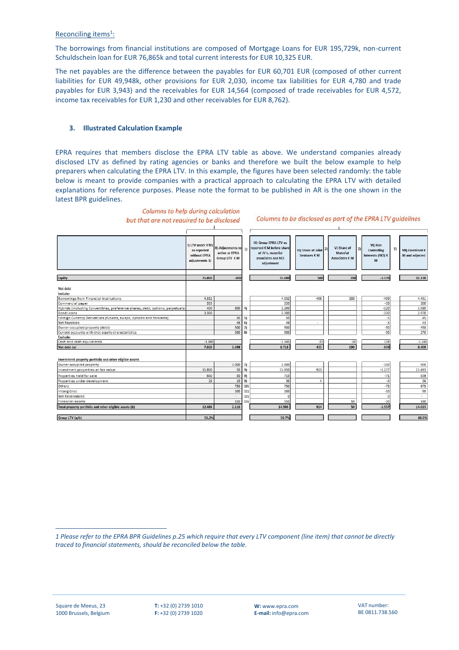Reconciling items<sup>1</sup>:

The borrowings from financial institutions are composed of Mortgage Loans for EUR 195,729k, non-current Schuldschein loan for EUR 76,865k and total current interests for EUR 10,325 EUR.

The net payables are the difference between the payables for EUR 60,701 EUR (composed of other current liabilities for EUR 49,948k, other provisions for EUR 2,030, income tax liabilities for EUR 4,780 and trade payables for EUR 3,943) and the receivables for EUR 14,564 (composed of trade receivables for EUR 4,572, income tax receivables for EUR 1,230 and other receivables for EUR 8,762).

## **3. Illustrated Calculation Example**

EPRA requires that members disclose the EPRA LTV table as above. We understand companies already disclosed LTV as defined by rating agencies or banks and therefore we built the below example to help preparers when calculating the EPRA LTV. In this example, the figures have been selected randomly: the table below is meant to provide companies with a practical approach to calculating the EPRA LTV with detailed explanations for reference purposes. Please note the format to be published in AR is the one shown in the latest BPR guidelines.



Columns to help during calculation but that are not required to be disclosed

1 Please refer to the EPRA BPR Guidelines p.25 which require that every LTV component (line item) that cannot be directly *traced to financial statements, should be reconciled below the table.*

Columns to be disclosed as part of the EPRA LTV guidelines